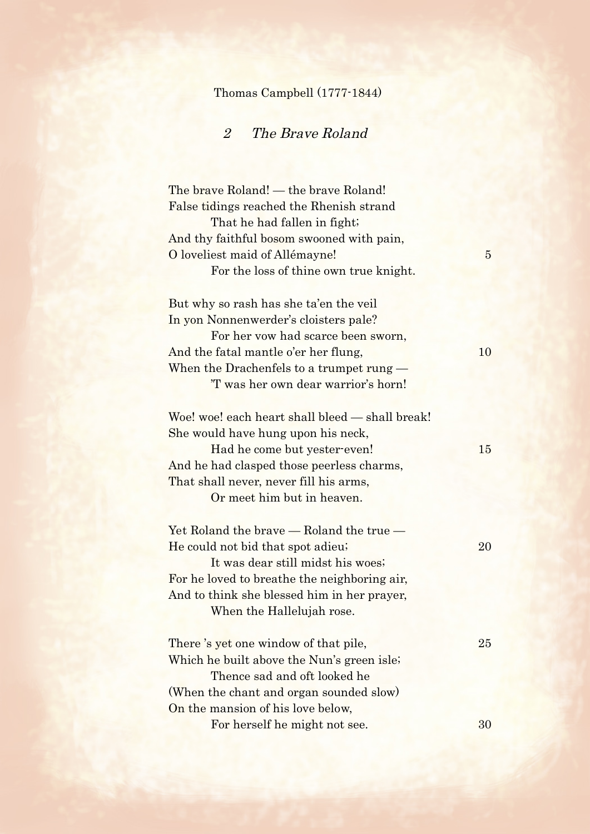## Thomas Campbell (1777-1844)

## 2 The Brave Roland

The brave Roland! — the brave Roland! False tidings reached the Rhenish strand That he had fallen in fight; And thy faithful bosom swooned with pain, O loveliest maid of Allémayne! For the loss of thine own true knight. But why so rash has she ta'en the veil In yon Nonnenwerder's cloisters pale? For her vow had scarce been sworn, And the fatal mantle o'er her flung, 10 When the Drachenfels to a trumpet rung — 'T was her own dear warrior's horn! Woe! woe! each heart shall bleed — shall break! She would have hung upon his neck, Had he come but yester-even! 15 And he had clasped those peerless charms, That shall never, never fill his arms, Or meet him but in heaven. Yet Roland the brave — Roland the true — He could not bid that spot adieu; 20 It was dear still midst his woes; For he loved to breathe the neighboring air, And to think she blessed him in her prayer, When the Hallelujah rose. There's yet one window of that pile, 25 Which he built above the Nun's green isle; Thence sad and oft looked he (When the chant and organ sounded slow) On the mansion of his love below, For herself he might not see. 30